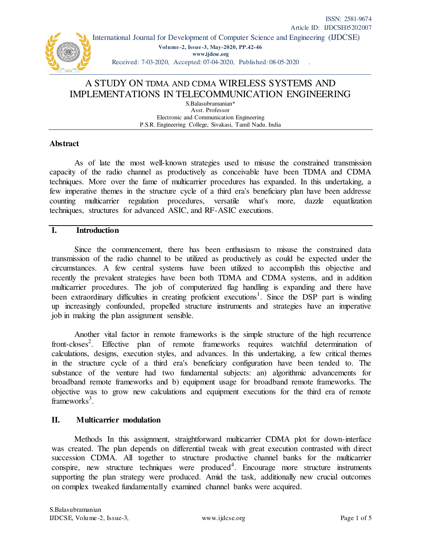

 International Journal for Development of Computer Science and Engineering (IJDCSE) **Volume-2, Issue-3, May-2020, PP.42-46 [www.ijdcse.org](http://www.ijdcse.org/)**  Received: 7-03-2020, Accepted: 07-04-2020, Published: 08-05-2020 .

# A STUDY ON TDMA AND CDMA WIRELESS SYSTEMS AND IMPLEMENTATIONS IN TELECOMMUNICATION ENGINEERING

S.Balasubramanian\* Asst. Professor Electronic and Communication Engineering P.S.R. Engineering College, Sivakasi, Tamil Nadu. India

### **Abstract**

As of late the most well-known strategies used to misuse the constrained transmission capacity of the radio channel as productively as conceivable have been TDMA and CDMA techniques. More over the fame of multicarrier procedures has expanded. In this undertaking, a few imperative themes in the structure cycle of a third era's beneficiary plan have been addresse counting multicarrier regulation procedures, versatile what's more, dazzle equatlization techniques, structures for advanced ASIC, and RF-ASIC executions.

## **I. Introduction**

Since the commencement, there has been enthusiasm to misuse the constrained data transmission of the radio channel to be utilized as productively as could be expected under the circumstances. A few central systems have been utilized to accomplish this objective and recently the prevalent strategies have been both TDMA and CDMA systems, and in addition multicarrier procedures. The job of computerized flag handling is expanding and there have been extraordinary difficulties in creating proficient executions<sup>1</sup>. Since the DSP part is winding up increasingly confounded, propelled structure instruments and strategies have an imperative job in making the plan assignment sensible.

Another vital factor in remote frameworks is the simple structure of the high recurrence front-closes<sup>2</sup>. Effective plan of remote frameworks requires watchful determination of calculations, designs, execution styles, and advances. In this undertaking, a few critical themes in the structure cycle of a third era's beneficiary configuration have been tended to. The substance of the venture had two fundamental subjects: an) algorithmic advancements for broadband remote frameworks and b) equipment usage for broadband remote frameworks. The objective was to grow new calculations and equipment executions for the third era of remote frameworks<sup>3</sup>.

## **II. Multicarrier modulation**

Methods In this assignment, straightforward multicarrier CDMA plot for down-interface was created. The plan depends on differential tweak with great execution contrasted with direct succession CDMA. All together to structure productive channel banks for the multicarrier conspire, new structure techniques were produced<sup>4</sup>. Encourage more structure instruments supporting the plan strategy were produced. Amid the task, additionally new crucial outcomes on complex tweaked fundamentally examined channel banks were acquired.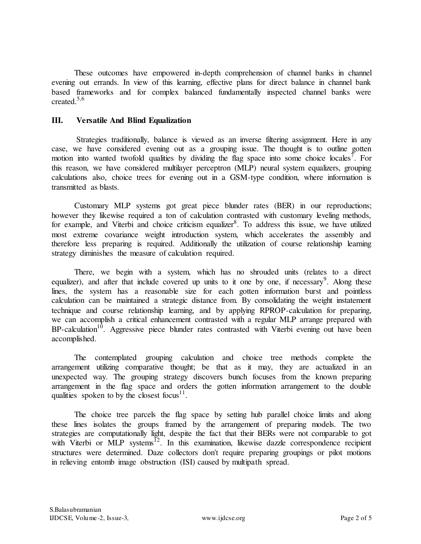These outcomes have empowered in-depth comprehension of channel banks in channel evening out errands. In view of this learning, effective plans for direct balance in channel bank based frameworks and for complex balanced fundamentally inspected channel banks were created.5,6

#### **III. Versatile And Blind Equalization**

Strategies traditionally, balance is viewed as an inverse filtering assignment. Here in any case, we have considered evening out as a grouping issue. The thought is to outline gotten motion into wanted twofold qualities by dividing the flag space into some choice locales<sup>7</sup>. For this reason, we have considered multilayer perceptron (MLP) neural system equalizers, grouping calculations also, choice trees for evening out in a GSM-type condition, where information is transmitted as blasts.

Customary MLP systems got great piece blunder rates (BER) in our reproductions; however they likewise required a ton of calculation contrasted with customary leveling methods, for example, and Viterbi and choice criticism equalizer<sup>8</sup>. To address this issue, we have utilized most extreme covariance weight introduction system, which accelerates the assembly and therefore less preparing is required. Additionally the utilization of course relationship learning strategy diminishes the measure of calculation required.

There, we begin with a system, which has no shrouded units (relates to a direct equalizer), and after that include covered up units to it one by one, if necessary<sup>9</sup>. Along these lines, the system has a reasonable size for each gotten information burst and pointless calculation can be maintained a strategic distance from. By consolidating the weight instatement technique and course relationship learning, and by applying RPROP-calculation for preparing, we can accomplish a critical enhancement contrasted with a regular MLP arrange prepared with  $BP$ -calculation<sup>10</sup>. Aggressive piece blunder rates contrasted with Viterbi evening out have been accomplished.

The contemplated grouping calculation and choice tree methods complete the arrangement utilizing comparative thought; be that as it may, they are actualized in an unexpected way. The grouping strategy discovers bunch focuses from the known preparing arrangement in the flag space and orders the gotten information arrangement to the double qualities spoken to by the closest focus<sup>11</sup>.

The choice tree parcels the flag space by setting hub parallel choice limits and along these lines isolates the groups framed by the arrangement of preparing models. The two strategies are computationally light, despite the fact that their BERs were not comparable to got with Viterbi or MLP systems $^{12}$ . In this examination, likewise dazzle correspondence recipient structures were determined. Daze collectors don't require preparing groupings or pilot motions in relieving entomb image obstruction (ISI) caused by multipath spread.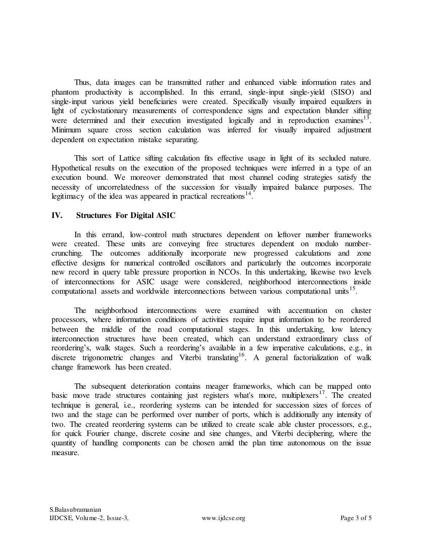Thus, data images can be transmitted rather and enhanced viable information rates and phantom productivity is accomplished. In this errand, single-input single-yield (SISO) and single-input various yield beneficiaries were created. Specifically visually impaired equalizers in light of cyclostationary measurements of correspondence signs and expectation blunder sifting were determined and their execution investigated logically and in reproduction examines<sup>13</sup>. Minimum square cross section calculation was inferred for visually impaired adjustment dependent on expectation mistake separating.

This sort of Lattice sifting calculation fits effective usage in light of its secluded nature. Hypothetical results on the execution of the proposed techniques were inferred in a type of an execution bound. We moreover demonstrated that most channel coding strategies satisfy the necessity of uncorrelatedness of the succession for visually impaired balance purposes. The legitimacy of the idea was appeared in practical recreations $14$ .

## **IV. Structures For Digital ASIC**

In this errand, low-control math structures dependent on leftover number frameworks were created. These units are conveying free structures dependent on modulo numbercrunching. The outcomes additionally incorporate new progressed calculations and zone effective designs for numerical controlled oscillators and particularly the outcomes incorporate new record in query table pressure proportion in NCOs. In this undertaking, likewise two levels of interconnections for ASIC usage were considered, neighborhood interconnections inside computational assets and worldwide interconnections between various computational units<sup>15</sup>.

The neighborhood interconnections were examined with accentuation on cluster processors, where information conditions of activities require input information to be reordered between the middle of the road computational stages. In this undertaking, low latency interconnection structures have been created, which can understand extraordinary class of reordering's, walk stages. Such a reordering's available in a few imperative calculations, e.g., in discrete trigonometric changes and Viterbi translating<sup>16</sup>. A general factorialization of walk change framework has been created.

The subsequent deterioration contains meager frameworks, which can be mapped onto basic move trade structures containing just registers what's more, multiplexers<sup>17</sup>. The created technique is general, i.e., reordering systems can be intended for succession sizes of forces of two and the stage can be performed over number of ports, which is additionally any intensity of two. The created reordering systems can be utilized to create scale able cluster processors, e.g., for quick Fourier change, discrete cosine and sine changes, and Viterbi deciphering, where the quantity of handling components can be chosen amid the plan time autonomous on the issue measure.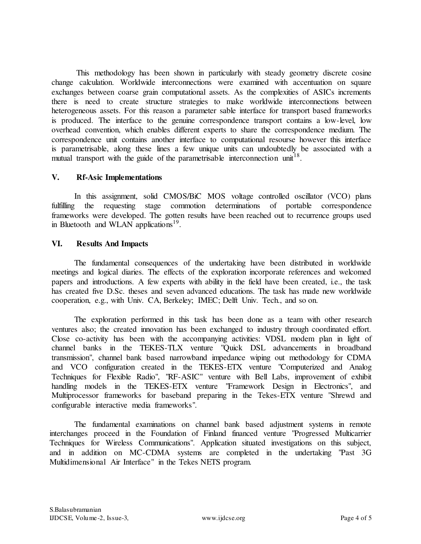This methodology has been shown in particularly with steady geometry discrete cosine change calculation. Worldwide interconnections were examined with accentuation on square exchanges between coarse grain computational assets. As the complexities of ASICs increments there is need to create structure strategies to make worldwide interconnections between heterogeneous assets. For this reason a parameter sable interface for transport based frameworks is produced. The interface to the genuine correspondence transport contains a low-level, low overhead convention, which enables different experts to share the correspondence medium. The correspondence unit contains another interface to computational resourse however this interface is parametrisable, along these lines a few unique units can undoubtedly be associated with a mutual transport with the guide of the parametrisable interconnection unit<sup>18</sup>.

### **V. Rf-Asic Implementations**

In this assignment, solid CMOS/BiC MOS voltage controlled oscillator (VCO) plans fulfilling the requesting stage commotion determinations of portable correspondence frameworks were developed. The gotten results have been reached out to recurrence groups used in Bluetooth and WLAN applications $19$ .

### **VI. Results And Impacts**

The fundamental consequences of the undertaking have been distributed in worldwide meetings and logical diaries. The effects of the exploration incorporate references and welcomed papers and introductions. A few experts with ability in the field have been created, i.e., the task has created five D.Sc. theses and seven advanced educations. The task has made new worldwide cooperation, e.g., with Univ. CA, Berkeley; IMEC; Delft Univ. Tech., and so on.

The exploration performed in this task has been done as a team with other research ventures also; the created innovation has been exchanged to industry through coordinated effort. Close co-activity has been with the accompanying activities: VDSL modem plan in light of channel banks in the TEKES-TLX venture "Quick DSL advancements in broadband transmission", channel bank based narrowband impedance wiping out methodology for CDMA and VCO configuration created in the TEKES-ETX venture "Computerized and Analog Techniques for Flexible Radio", "RF-ASIC" venture with Bell Labs, improvement of exhibit handling models in the TEKES-ETX venture "Framework Design in Electronics", and Multiprocessor frameworks for baseband preparing in the Tekes-ETX venture "Shrewd and configurable interactive media frameworks".

The fundamental examinations on channel bank based adjustment systems in remote interchanges proceed in the Foundation of Finland financed venture "Progressed Multicarrier Techniques for Wireless Communications". Application situated investigations on this subject, and in addition on MC-CDMA systems are completed in the undertaking "Past 3G Multidimensional Air Interface" in the Tekes NETS program.